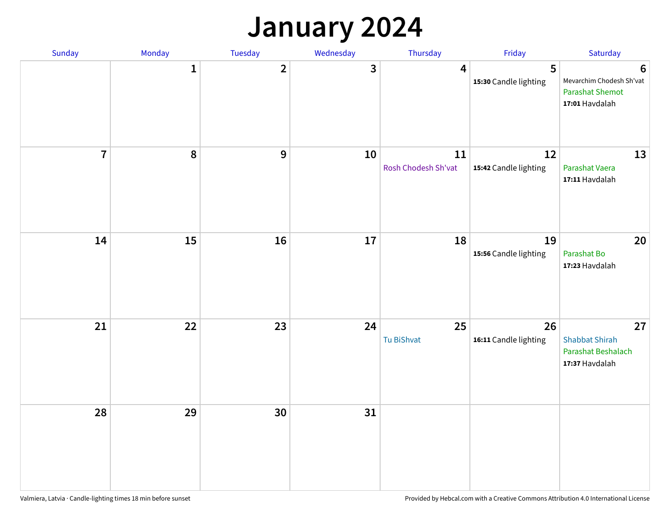#### **January 2024**

| Sunday         | Monday       | Tuesday        | Wednesday | Thursday                      | Friday                      | Saturday                                                                                |
|----------------|--------------|----------------|-----------|-------------------------------|-----------------------------|-----------------------------------------------------------------------------------------|
|                | $\mathbf{1}$ | $\overline{2}$ | 3         | 4                             | 5<br>15:30 Candle lighting  | $6\phantom{1}6$<br>Mevarchim Chodesh Sh'vat<br><b>Parashat Shemot</b><br>17:01 Havdalah |
| $\overline{7}$ | 8            | $\overline{9}$ | 10        | $11\,$<br>Rosh Chodesh Sh'vat | 12<br>15:42 Candle lighting | 13<br>Parashat Vaera<br>17:11 Havdalah                                                  |
| 14             | 15           | 16             | 17        | 18                            | 19<br>15:56 Candle lighting | 20<br>Parashat Bo<br>17:23 Havdalah                                                     |
| 21             | 22           | 23             | 24        | 25<br>Tu BiShvat              | 26<br>16:11 Candle lighting | 27<br><b>Shabbat Shirah</b><br>Parashat Beshalach<br>17:37 Havdalah                     |
| 28             | 29           | 30             | 31        |                               |                             |                                                                                         |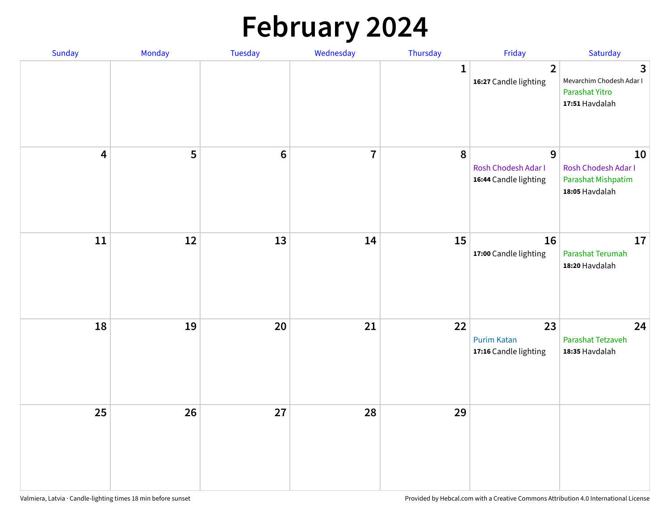# **February 2024**

| Sunday                  | Monday | Tuesday          | Wednesday      | Thursday     | Friday                                                         | Saturday                                                                     |
|-------------------------|--------|------------------|----------------|--------------|----------------------------------------------------------------|------------------------------------------------------------------------------|
|                         |        |                  |                | $\mathbf{1}$ | $\overline{2}$<br>16:27 Candle lighting                        | $\mathbf{3}$<br>Mevarchim Chodesh Adar I<br>Parashat Yitro<br>17:51 Havdalah |
| $\overline{\mathbf{4}}$ | 5      | $\boldsymbol{6}$ | $\overline{7}$ | ${\bf 8}$    | $\overline{9}$<br>Rosh Chodesh Adar I<br>16:44 Candle lighting | 10<br>Rosh Chodesh Adar I<br>Parashat Mishpatim<br>18:05 Havdalah            |
| ${\bf 11}$              | 12     | 13               | 14             | 15           | 16<br>17:00 Candle lighting                                    | 17<br>Parashat Terumah<br>18:20 Havdalah                                     |
| 18                      | 19     | 20               | 21             | 22           | 23<br><b>Purim Katan</b><br>17:16 Candle lighting              | 24<br>Parashat Tetzaveh<br>18:35 Havdalah                                    |
| 25                      | 26     | 27               | 28             | 29           |                                                                |                                                                              |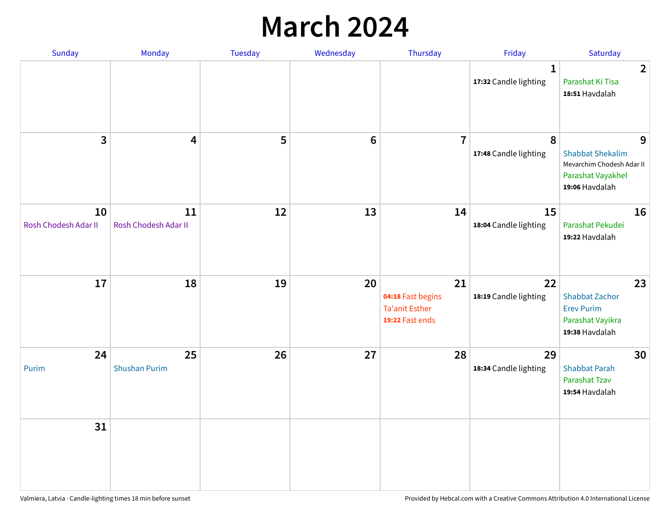## **March 2024**

| Sunday                     | Monday                     | <b>Tuesday</b> | Wednesday | Thursday                                                            | Friday                                | Saturday                                                                                         |
|----------------------------|----------------------------|----------------|-----------|---------------------------------------------------------------------|---------------------------------------|--------------------------------------------------------------------------------------------------|
|                            |                            |                |           |                                                                     | $\mathbf{1}$<br>17:32 Candle lighting | $\overline{2}$<br>Parashat Ki Tisa<br>18:51 Havdalah                                             |
| 3                          | $\overline{\mathbf{4}}$    | 5              | $\bf 6$   | $\overline{7}$                                                      | 8<br>17:48 Candle lighting            | 9<br><b>Shabbat Shekalim</b><br>Mevarchim Chodesh Adar II<br>Parashat Vayakhel<br>19:06 Havdalah |
| 10<br>Rosh Chodesh Adar II | 11<br>Rosh Chodesh Adar II | 12             | 13        | 14                                                                  | 15<br>18:04 Candle lighting           | 16<br>Parashat Pekudei<br>19:22 Havdalah                                                         |
| 17                         | 18                         | 19             | 20        | 21<br>04:18 Fast begins<br><b>Ta'anit Esther</b><br>19:22 Fast ends | 22<br>18:19 Candle lighting           | 23<br><b>Shabbat Zachor</b><br><b>Erev Purim</b><br>Parashat Vayikra<br>19:38 Havdalah           |
| 24<br>Purim                | 25<br><b>Shushan Purim</b> | 26             | 27        | 28                                                                  | 29<br>18:34 Candle lighting           | 30<br><b>Shabbat Parah</b><br>Parashat Tzav<br>19:54 Havdalah                                    |
| 31                         |                            |                |           |                                                                     |                                       |                                                                                                  |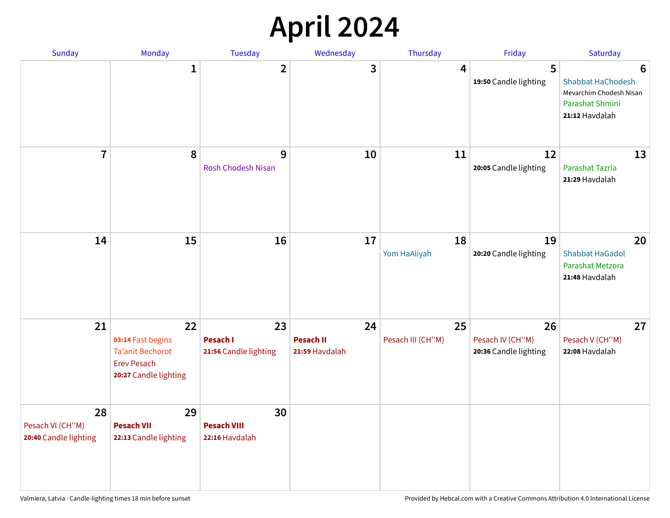# **April 2024**

| Sunday                                          | Monday                                                                                            | Tuesday                                    | Wednesday                                | Thursday                | Friday                                          | Saturday                                                                                      |
|-------------------------------------------------|---------------------------------------------------------------------------------------------------|--------------------------------------------|------------------------------------------|-------------------------|-------------------------------------------------|-----------------------------------------------------------------------------------------------|
|                                                 | $\mathbf 1$                                                                                       | $\overline{\mathbf{2}}$                    | 3                                        | 4                       | 5<br>19:50 Candle lighting                      | 6<br><b>Shabbat HaChodesh</b><br>Mevarchim Chodesh Nisan<br>Parashat Shmini<br>21:12 Havdalah |
| $\overline{7}$                                  | 8                                                                                                 | 9<br><b>Rosh Chodesh Nisan</b>             | 10                                       | 11                      | 12<br>20:05 Candle lighting                     | 13<br>Parashat Tazria<br>21:29 Havdalah                                                       |
| 14                                              | 15                                                                                                | 16                                         | 17                                       | 18<br>Yom HaAliyah      | 19<br>20:20 Candle lighting                     | 20<br><b>Shabbat HaGadol</b><br>Parashat Metzora<br>21:48 Havdalah                            |
| 21                                              | 22<br>03:14 Fast begins<br><b>Ta'anit Bechorot</b><br><b>Erev Pesach</b><br>20:27 Candle lighting | 23<br>Pesach I<br>21:56 Candle lighting    | 24<br><b>Pesach II</b><br>21:59 Havdalah | 25<br>Pesach III (CH"M) | 26<br>Pesach IV (CH"M)<br>20:36 Candle lighting | 27<br>Pesach V (CH"M)<br>22:08 Havdalah                                                       |
| 28<br>Pesach VI (CH"M)<br>20:40 Candle lighting | 29<br><b>Pesach VII</b><br>22:13 Candle lighting                                                  | 30<br><b>Pesach VIII</b><br>22:16 Havdalah |                                          |                         |                                                 |                                                                                               |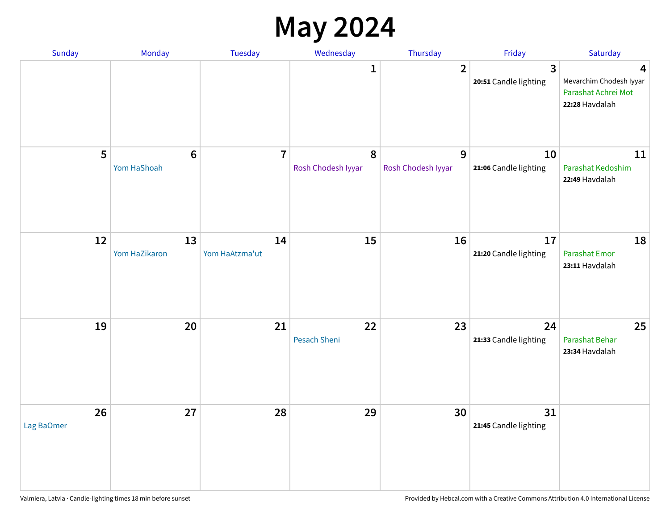### **May 2024**

| Sunday           | Monday                         | Tuesday              | Wednesday               | Thursday                | Friday                                  | Saturday                                                              |
|------------------|--------------------------------|----------------------|-------------------------|-------------------------|-----------------------------------------|-----------------------------------------------------------------------|
|                  |                                |                      | 1                       | $\overline{2}$          | $\overline{3}$<br>20:51 Candle lighting | 4<br>Mevarchim Chodesh Iyyar<br>Parashat Achrei Mot<br>22:28 Havdalah |
| 5                | $6\phantom{1}6$<br>Yom HaShoah | $\overline{7}$       | 8<br>Rosh Chodesh Iyyar | 9<br>Rosh Chodesh Iyyar | 10<br>21:06 Candle lighting             | 11<br>Parashat Kedoshim<br>22:49 Havdalah                             |
| 12               | 13<br>Yom HaZikaron            | 14<br>Yom HaAtzma'ut | 15                      | 16                      | 17<br>21:20 Candle lighting             | 18<br>Parashat Emor<br>23:11 Havdalah                                 |
| 19               | 20                             | 21                   | 22<br>Pesach Sheni      | 23                      | 24<br>21:33 Candle lighting             | 25<br>Parashat Behar<br>23:34 Havdalah                                |
| 26<br>Lag BaOmer | 27                             | 28                   | 29                      | 30                      | 31<br>21:45 Candle lighting             |                                                                       |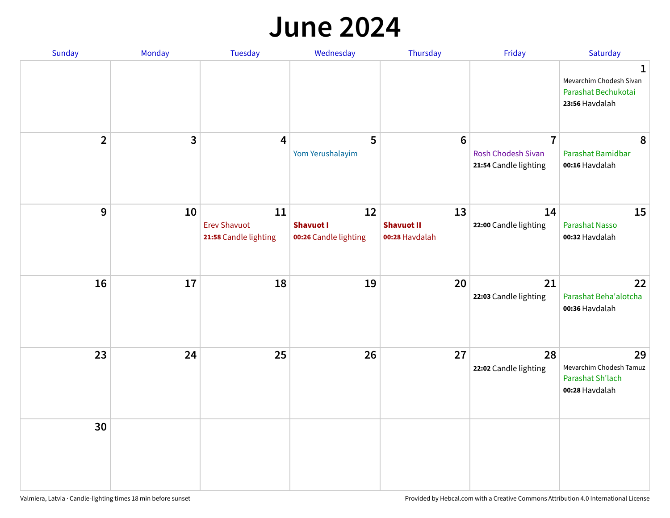#### **June 2024**

| Sunday         | Monday | Tuesday                                            | Wednesday                                       | Thursday                                  | Friday                                                               | Saturday                                                                        |
|----------------|--------|----------------------------------------------------|-------------------------------------------------|-------------------------------------------|----------------------------------------------------------------------|---------------------------------------------------------------------------------|
|                |        |                                                    |                                                 |                                           |                                                                      | $\mathbf 1$<br>Mevarchim Chodesh Sivan<br>Parashat Bechukotai<br>23:56 Havdalah |
| $\overline{2}$ | 3      | 4                                                  | 5<br>Yom Yerushalayim                           | 6                                         | $\overline{7}$<br><b>Rosh Chodesh Sivan</b><br>21:54 Candle lighting | 8<br>Parashat Bamidbar<br>00:16 Havdalah                                        |
| 9              | 10     | 11<br><b>Erev Shavuot</b><br>21:58 Candle lighting | 12<br><b>Shavuot I</b><br>00:26 Candle lighting | 13<br><b>Shavuot II</b><br>00:28 Havdalah | 14<br>22:00 Candle lighting                                          | 15<br><b>Parashat Nasso</b><br>00:32 Havdalah                                   |
| 16             | 17     | 18                                                 | 19                                              | 20                                        | 21<br>22:03 Candle lighting                                          | 22<br>Parashat Beha'alotcha<br>00:36 Havdalah                                   |
| 23             | 24     | 25                                                 | 26                                              | 27                                        | 28<br>22:02 Candle lighting                                          | 29<br>Mevarchim Chodesh Tamuz<br>Parashat Sh'lach<br>00:28 Havdalah             |
| 30             |        |                                                    |                                                 |                                           |                                                                      |                                                                                 |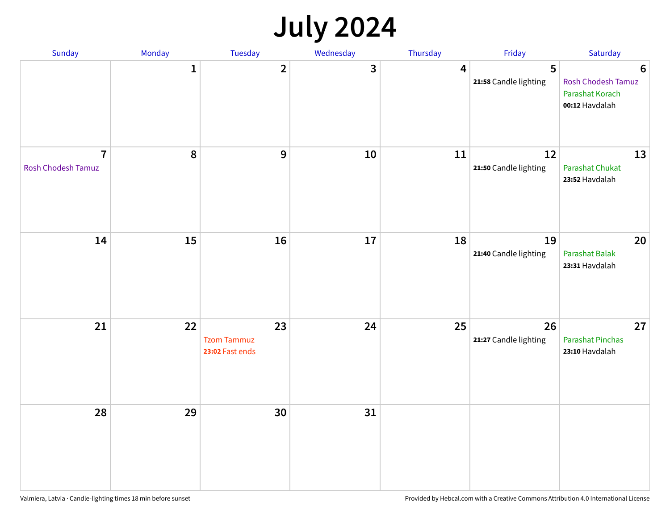## **July 2024**

| Sunday                               | Monday       | Tuesday                                     | Wednesday | Thursday         | Friday                      | Saturday                                                                   |
|--------------------------------------|--------------|---------------------------------------------|-----------|------------------|-----------------------------|----------------------------------------------------------------------------|
|                                      | $\mathbf{1}$ | $\overline{2}$                              | 3         | $\boldsymbol{4}$ | 5<br>21:58 Candle lighting  | $6\phantom{1}6$<br>Rosh Chodesh Tamuz<br>Parashat Korach<br>00:12 Havdalah |
| $\overline{7}$<br>Rosh Chodesh Tamuz | 8            | $\overline{9}$                              | 10        | 11               | 12<br>21:50 Candle lighting | 13<br><b>Parashat Chukat</b><br>23:52 Havdalah                             |
| 14                                   | 15           | 16                                          | 17        | 18               | 19<br>21:40 Candle lighting | 20<br>Parashat Balak<br>23:31 Havdalah                                     |
| 21                                   | 22           | 23<br><b>Tzom Tammuz</b><br>23:02 Fast ends | 24        | 25               | 26<br>21:27 Candle lighting | 27<br><b>Parashat Pinchas</b><br>23:10 Havdalah                            |
| 28                                   | 29           | 30                                          | 31        |                  |                             |                                                                            |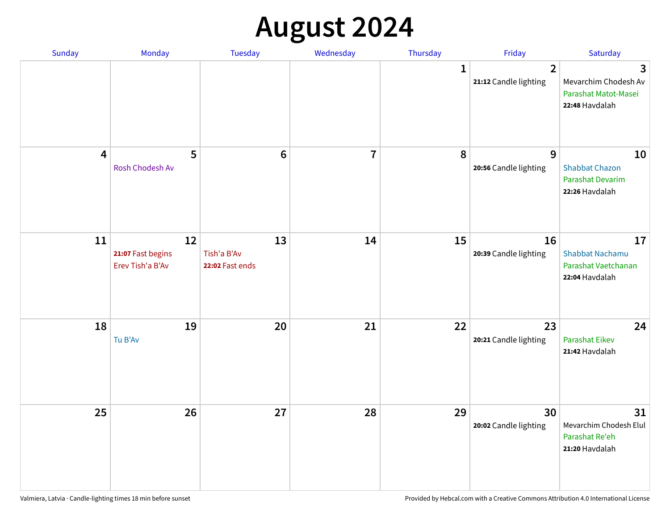# **August 2024**

| Sunday                  | Monday                                      | Tuesday                              | Wednesday      | Thursday    | Friday                                  | Saturday                                                              |
|-------------------------|---------------------------------------------|--------------------------------------|----------------|-------------|-----------------------------------------|-----------------------------------------------------------------------|
|                         |                                             |                                      |                | $\mathbf 1$ | $\overline{2}$<br>21:12 Candle lighting | 3<br>Mevarchim Chodesh Av<br>Parashat Matot-Masei<br>22:48 Havdalah   |
| $\overline{\mathbf{4}}$ | 5<br>Rosh Chodesh Av                        | $6\phantom{1}6$                      | $\overline{7}$ | 8           | 9<br>20:56 Candle lighting              | 10<br><b>Shabbat Chazon</b><br>Parashat Devarim<br>22:26 Havdalah     |
| 11                      | 12<br>21:07 Fast begins<br>Erev Tish'a B'Av | 13<br>Tish'a B'Av<br>22:02 Fast ends | 14             | 15          | 16<br>20:39 Candle lighting             | 17<br><b>Shabbat Nachamu</b><br>Parashat Vaetchanan<br>22:04 Havdalah |
| 18                      | 19<br>Tu B'Av                               | 20                                   | 21             | 22          | 23<br>20:21 Candle lighting             | 24<br><b>Parashat Eikev</b><br>21:42 Havdalah                         |
| 25                      | 26                                          | 27                                   | 28             | 29          | 30<br>20:02 Candle lighting             | 31<br>Mevarchim Chodesh Elul<br>Parashat Re'eh<br>21:20 Havdalah      |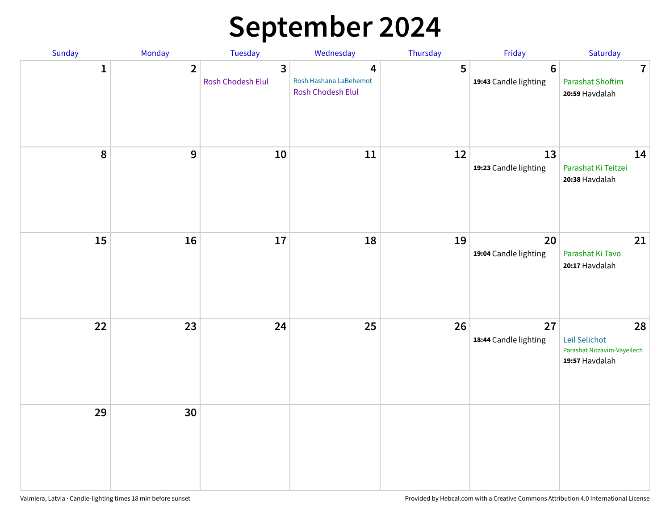# **September 2024**

| Sunday       | Monday         | Tuesday                | Wednesday                                        | Thursday | Friday                                   | Saturday                                                             |
|--------------|----------------|------------------------|--------------------------------------------------|----------|------------------------------------------|----------------------------------------------------------------------|
| $\mathbf{1}$ | $\overline{2}$ | 3<br>Rosh Chodesh Elul | 4<br>Rosh Hashana LaBehemot<br>Rosh Chodesh Elul | 5        | $6\phantom{1}6$<br>19:43 Candle lighting | $\overline{7}$<br><b>Parashat Shoftim</b><br>20:59 Havdalah          |
| $\pmb{8}$    | $\mathbf{9}$   | $10\,$                 | 11                                               | 12       | 13<br>19:23 Candle lighting              | 14<br>Parashat Ki Teitzei<br>20:38 Havdalah                          |
| 15           | 16             | 17                     | 18                                               | 19       | 20<br>19:04 Candle lighting              | 21<br>Parashat Ki Tavo<br>20:17 Havdalah                             |
| 22           | 23             | 24                     | 25                                               | 26       | 27<br>18:44 Candle lighting              | 28<br>Leil Selichot<br>Parashat Nitzavim-Vayeilech<br>19:57 Havdalah |
| 29           | 30             |                        |                                                  |          |                                          |                                                                      |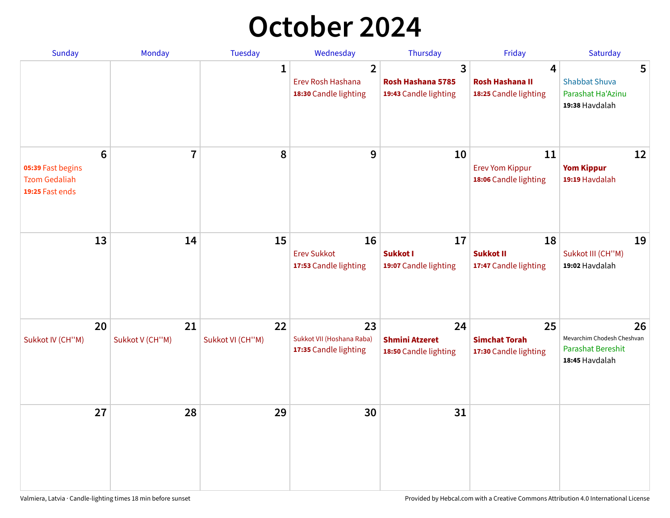## **October 2024**

| <b>Sunday</b>                                                     | <b>Monday</b>           | <b>Tuesday</b>         | Wednesday                                                | Thursday                                             | Friday                                                | Saturday                                                                       |
|-------------------------------------------------------------------|-------------------------|------------------------|----------------------------------------------------------|------------------------------------------------------|-------------------------------------------------------|--------------------------------------------------------------------------------|
|                                                                   |                         | $\mathbf{1}$           | 2<br>Erev Rosh Hashana<br>18:30 Candle lighting          | 3<br>Rosh Hashana 5785<br>19:43 Candle lighting      | 4<br><b>Rosh Hashana II</b><br>18:25 Candle lighting  | 5<br><b>Shabbat Shuva</b><br>Parashat Ha'Azinu<br>19:38 Havdalah               |
| 6<br>05:39 Fast begins<br><b>Tzom Gedaliah</b><br>19:25 Fast ends | $\overline{\mathbf{7}}$ | 8                      | 9                                                        | 10                                                   | 11<br><b>Erev Yom Kippur</b><br>18:06 Candle lighting | 12<br><b>Yom Kippur</b><br>19:19 Havdalah                                      |
| 13                                                                | 14                      | 15                     | 16<br><b>Erev Sukkot</b><br>17:53 Candle lighting        | 17<br>Sukkot I<br>19:07 Candle lighting              | 18<br><b>Sukkot II</b><br>17:47 Candle lighting       | 19<br>Sukkot III (CH"M)<br>19:02 Havdalah                                      |
| 20<br>Sukkot IV (CH"M)                                            | 21<br>Sukkot V (CH"M)   | 22<br>Sukkot VI (CH"M) | 23<br>Sukkot VII (Hoshana Raba)<br>17:35 Candle lighting | 24<br><b>Shmini Atzeret</b><br>18:50 Candle lighting | 25<br><b>Simchat Torah</b><br>17:30 Candle lighting   | 26<br>Mevarchim Chodesh Cheshvan<br><b>Parashat Bereshit</b><br>18:45 Havdalah |
| 27                                                                | 28                      | 29                     | 30                                                       | 31                                                   |                                                       |                                                                                |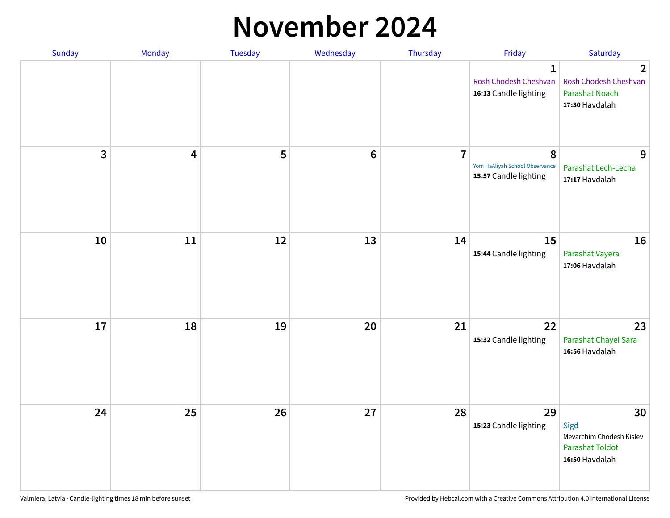#### **November 2024**

| Sunday | Monday | Tuesday | Wednesday      | Thursday       | Friday                                                         | Saturday                                                                           |
|--------|--------|---------|----------------|----------------|----------------------------------------------------------------|------------------------------------------------------------------------------------|
|        |        |         |                |                | $\mathbf{1}$<br>Rosh Chodesh Cheshvan<br>16:13 Candle lighting | $\overline{2}$<br>Rosh Chodesh Cheshvan<br><b>Parashat Noach</b><br>17:30 Havdalah |
| 3      | 4      | 5       | $6\phantom{1}$ | $\overline{7}$ | 8<br>Yom HaAliyah School Observance<br>15:57 Candle lighting   | 9<br>Parashat Lech-Lecha<br>17:17 Havdalah                                         |
| 10     | 11     | 12      | 13             | 14             | 15<br>15:44 Candle lighting                                    | 16<br>Parashat Vayera<br>17:06 Havdalah                                            |
| 17     | 18     | 19      | 20             | 21             | 22<br>15:32 Candle lighting                                    | 23<br>Parashat Chayei Sara<br>16:56 Havdalah                                       |
| 24     | 25     | 26      | 27             | 28             | 29<br>15:23 Candle lighting                                    | 30<br>Sigd<br>Mevarchim Chodesh Kislev<br><b>Parashat Toldot</b><br>16:50 Havdalah |